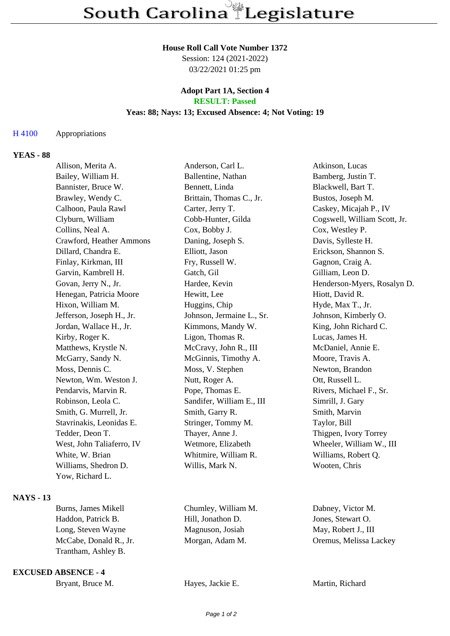### **House Roll Call Vote Number 1372**

Session: 124 (2021-2022) 03/22/2021 01:25 pm

### **Adopt Part 1A, Section 4 RESULT: Passed**

### **Yeas: 88; Nays: 13; Excused Absence: 4; Not Voting: 19**

## H 4100 Appropriations

# **YEAS - 88**

| Allison, Merita A.        | Anderson, Carl L.         | Atkinson, Lucas              |
|---------------------------|---------------------------|------------------------------|
| Bailey, William H.        | Ballentine, Nathan        | Bamberg, Justin T.           |
| Bannister, Bruce W.       | Bennett, Linda            | Blackwell, Bart T.           |
| Brawley, Wendy C.         | Brittain, Thomas C., Jr.  | Bustos, Joseph M.            |
| Calhoon, Paula Rawl       | Carter, Jerry T.          | Caskey, Micajah P., IV       |
| Clyburn, William          | Cobb-Hunter, Gilda        | Cogswell, William Scott, Jr. |
| Collins, Neal A.          | Cox, Bobby J.             | Cox, Westley P.              |
| Crawford, Heather Ammons  | Daning, Joseph S.         | Davis, Sylleste H.           |
| Dillard, Chandra E.       | Elliott, Jason            | Erickson, Shannon S.         |
| Finlay, Kirkman, III      | Fry, Russell W.           | Gagnon, Craig A.             |
| Garvin, Kambrell H.       | Gatch, Gil                | Gilliam, Leon D.             |
| Govan, Jerry N., Jr.      | Hardee, Kevin             | Henderson-Myers, Rosalyn D.  |
| Henegan, Patricia Moore   | Hewitt, Lee               | Hiott, David R.              |
| Hixon, William M.         | Huggins, Chip             | Hyde, Max T., Jr.            |
| Jefferson, Joseph H., Jr. | Johnson, Jermaine L., Sr. | Johnson, Kimberly O.         |
| Jordan, Wallace H., Jr.   | Kimmons, Mandy W.         | King, John Richard C.        |
| Kirby, Roger K.           | Ligon, Thomas R.          | Lucas, James H.              |
| Matthews, Krystle N.      | McCravy, John R., III     | McDaniel, Annie E.           |
| McGarry, Sandy N.         | McGinnis, Timothy A.      | Moore, Travis A.             |
| Moss, Dennis C.           | Moss, V. Stephen          | Newton, Brandon              |
| Newton, Wm. Weston J.     | Nutt, Roger A.            | Ott, Russell L.              |
| Pendarvis, Marvin R.      | Pope, Thomas E.           | Rivers, Michael F., Sr.      |
| Robinson, Leola C.        | Sandifer, William E., III | Simrill, J. Gary             |
| Smith, G. Murrell, Jr.    | Smith, Garry R.           | Smith, Marvin                |
| Stavrinakis, Leonidas E.  | Stringer, Tommy M.        | Taylor, Bill                 |
| Tedder, Deon T.           | Thayer, Anne J.           | Thigpen, Ivory Torrey        |
| West, John Taliaferro, IV | Wetmore, Elizabeth        | Wheeler, William W., III     |
| White, W. Brian           | Whitmire, William R.      | Williams, Robert Q.          |
| Williams, Shedron D.      | Willis, Mark N.           | Wooten, Chris                |
| Yow, Richard L.           |                           |                              |
|                           |                           |                              |

## **NAYS - 13**

| Burns, James Mikell    | Chumley, William M. | Dabney, Victor M.      |
|------------------------|---------------------|------------------------|
| Haddon, Patrick B.     | Hill, Jonathon D.   | Jones, Stewart O.      |
| Long, Steven Wayne     | Magnuson, Josiah    | May, Robert J., III    |
| McCabe, Donald R., Jr. | Morgan, Adam M.     | Oremus, Melissa Lackey |
| Trantham, Ashley B.    |                     |                        |
|                        |                     |                        |

**EXCUSED ABSENCE - 4**

| Bryant, Bruce M. | Hay |
|------------------|-----|
|------------------|-----|

es, Jackie E. Martin, Richard